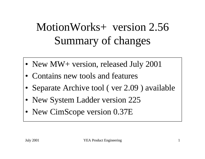# MotionWorks+ version 2.56 Summary of changes

- New MW+ version, released July 2001
- Contains new tools and features
- Separate Archive tool (ver 2.09) available
- New System Ladder version 225
- New CimScope version 0.37E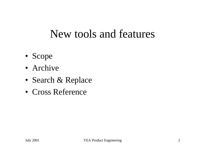#### New tools and features

- Scope
- Archive
- Search & Replace
- Cross Reference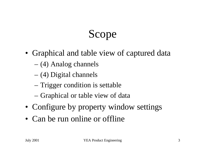- Graphical and table view of captured data
	- (4) Analog channels
	- (4) Digital channels
	- Trigger condition is settable
	- Graphical or table view of data
- Configure by property window settings
- Can be run online or offline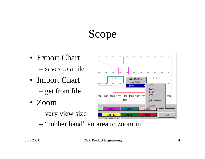- Export Chart – saves to a file
- Import Chart
	- get from file
- Zoom
	- vary view size



– "rubber band" an area to zoom in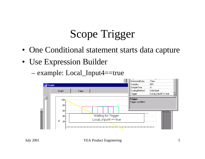## Scope Trigger

- One Conditional statement starts data capture
- Use Expression Builder
	- example: Local\_Input4==true

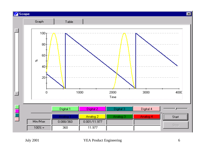

 $\vert x \vert$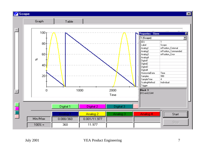

 $\vert x \vert$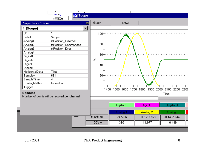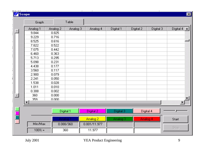$\sqrt{S}$ Scope

| مسرمين              |          |                     |                     |                     |           |           | $\overline{\phantom{a}}$      |
|---------------------|----------|---------------------|---------------------|---------------------|-----------|-----------|-------------------------------|
| Graph               |          | Table               |                     |                     |           |           |                               |
| Analog <sub>1</sub> | Analog 2 | Analog <sub>3</sub> | Analog 4            | Digital 1           | Digital 2 | Digital 3 | Digital 4<br>$\blacktriangle$ |
| 9.844               | 0.825    |                     |                     |                     |           |           |                               |
| 9.229               | 0.716    |                     |                     |                     |           |           |                               |
| 8.525               | 0.616    |                     |                     |                     |           |           |                               |
| 7.822               | 0.522    |                     |                     |                     |           |           |                               |
| 7.075               | 0.442    |                     |                     |                     |           |           |                               |
| 6.460               | 0.363    |                     |                     |                     |           |           |                               |
| 5.713               | 0.295    |                     |                     |                     |           |           |                               |
| 5.098               | 0.231    |                     |                     |                     |           |           |                               |
| 4.438               | 0.177    |                     |                     |                     |           |           |                               |
| 3.560               | 0.117    |                     |                     |                     |           |           |                               |
| 2.900               | 0.079    |                     |                     |                     |           |           |                               |
| 2.241               | 0.050    |                     |                     |                     |           |           |                               |
| 1.538               | 0.028    |                     |                     |                     |           |           |                               |
| 1.011               | 0.010    |                     |                     |                     |           |           |                               |
| 0.308               | 0.002    |                     |                     |                     |           |           |                               |
| 360                 | 0.000    |                     |                     |                     |           |           |                               |
| 359                 | in nnn.  |                     |                     |                     |           |           |                               |
| $\blacksquare$      |          |                     |                     |                     |           |           | $\blacksquare$                |
|                     |          |                     |                     |                     |           |           |                               |
|                     |          | Digital 1           | Digital 2           | Digital 3           |           | Digital 4 |                               |
|                     |          | Analog 1            | Analog <sub>2</sub> | Analog <sub>3</sub> |           | Analog 4  | Start                         |
| Min/Max             |          | 0.088/360           | 0.001/11.977        |                     |           |           |                               |
| $100% =$            |          | 360                 | 11.977              |                     |           |           | Stop                          |

Y.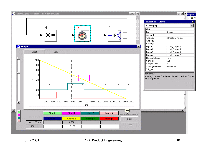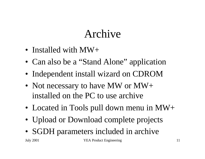#### Archive

- Installed with MW+
- Can also be a "Stand Alone" application
- Independent install wizard on CDROM
- Not necessary to have MW or MW+ installed on the PC to use archive
- Located in Tools pull down menu in MW+
- Upload or Download complete projects
- SGDH parameters included in archive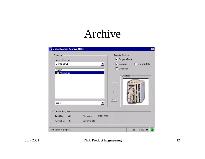#### Archive

| Computer           |                |           |                                                  |            |                       |  |
|--------------------|----------------|-----------|--------------------------------------------------|------------|-----------------------|--|
|                    |                |           | <b>Transfer Options</b><br><b>▽</b> Program Data |            |                       |  |
| Current Directory: |                |           |                                                  |            |                       |  |
| C:\MyBackup        |                |           | $\nabla$ Variables                               |            | <b>▽</b> Show Details |  |
| JCA                |                |           | $\nabla$ Constants                               |            |                       |  |
| MyBackup           |                |           |                                                  |            |                       |  |
|                    |                |           |                                                  | Controller |                       |  |
|                    |                |           |                                                  |            |                       |  |
|                    |                |           | $\Rightarrow$                                    |            |                       |  |
|                    |                |           |                                                  |            |                       |  |
|                    |                |           | $\zeta \! = \!$                                  |            |                       |  |
|                    |                |           | $\mathsf{E} \mathsf{g} \mathsf{it}$              |            |                       |  |
| ⊜c:                |                |           |                                                  |            |                       |  |
|                    |                |           |                                                  |            |                       |  |
| Transfer Progress  |                |           |                                                  |            |                       |  |
| Total Files:<br>40 | File Name:     | \$SFINDEX |                                                  |            |                       |  |
|                    | Current State: |           |                                                  |            |                       |  |
| Active File:<br>15 |                |           |                                                  |            |                       |  |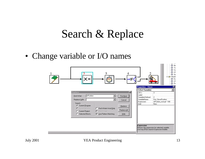### Search & Replace

• Change variable or I/O names

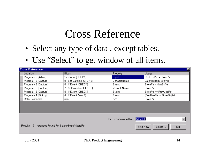### Cross Reference

- Select any type of data, except tables.
- Use "Select" to get window of all items.

| <b>Cross Reference</b><br>⊠                          |                          |                                |                                   |  |  |  |  |
|------------------------------------------------------|--------------------------|--------------------------------|-----------------------------------|--|--|--|--|
| Location                                             | <b>Block</b>             | Property                       | Usage                             |  |  |  |  |
| Program - 2 (Adjust)                                 | 17 - Input (CHECK)       |                                | CurrUsePtr != StorePtr            |  |  |  |  |
| Program - 3 (Capture)                                | 5 - Set Variable (STORE) |                                | LatchBuffer[StorePtr]             |  |  |  |  |
| Program - 3 (Capture)                                | 6 - If Event (CHECK)     |                                | StorePtr > MaxBuffer              |  |  |  |  |
| Program - 3 (Capture)                                | 7 - Set Variable (RESET) | VariableName                   | StorePtr                          |  |  |  |  |
| Program - 3 (Capture)                                | 8 - If Event (CHECK)     | Event                          | StorePtr == PrevUsePtr            |  |  |  |  |
| Program - 4 (Pickup)                                 | 4 - If Event (WAIT)      | Event                          | [CurrUsePtr != StorePtr] &&       |  |  |  |  |
| Data - Variables                                     | n/a                      | n/a                            | StorePtr                          |  |  |  |  |
|                                                      |                          |                                |                                   |  |  |  |  |
|                                                      |                          |                                |                                   |  |  |  |  |
|                                                      |                          |                                |                                   |  |  |  |  |
|                                                      |                          | Cross Reference Item: StorePtr |                                   |  |  |  |  |
| Results: 7 Instances Found For Searching of StorePtr |                          |                                | <b>Find Now</b><br>Exit<br>Select |  |  |  |  |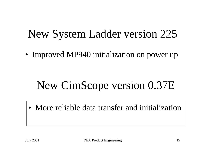## New System Ladder version 225

• Improved MP940 initialization on power up

# New CimScope version 0.37E

• More reliable data transfer and initialization